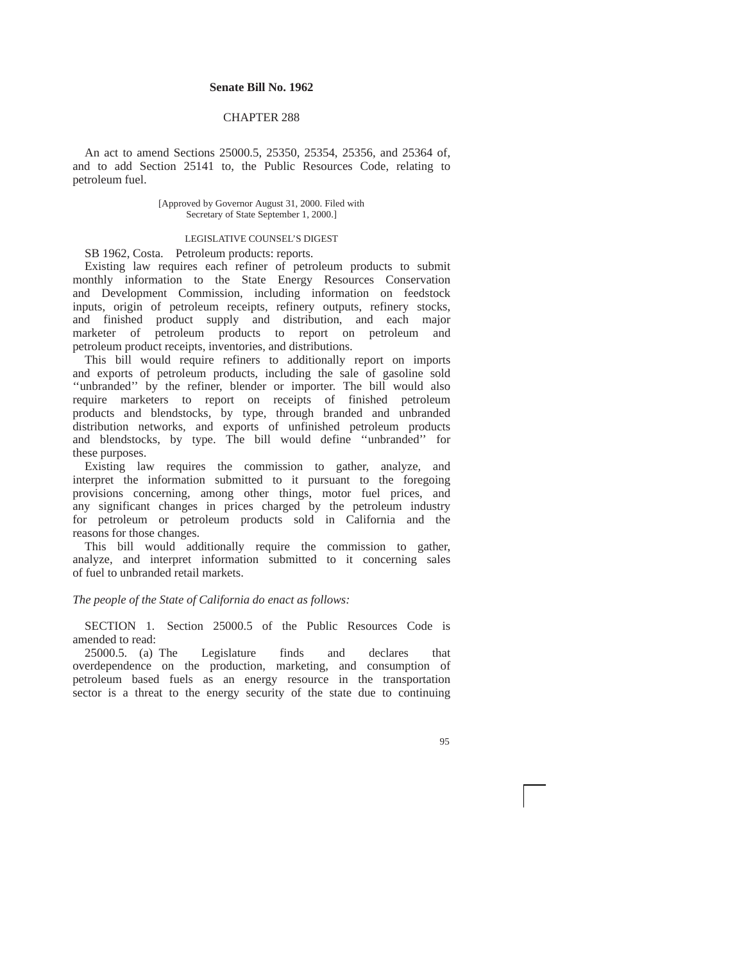## **Senate Bill No. 1962**

## CHAPTER 288

An act to amend Sections 25000.5, 25350, 25354, 25356, and 25364 of, and to add Section 25141 to, the Public Resources Code, relating to petroleum fuel.

> [Approved by Governor August 31, 2000. Filed with Secretary of State September 1, 2000.]

## LEGISLATIVE COUNSEL'S DIGEST

SB 1962, Costa. Petroleum products: reports.

Existing law requires each refiner of petroleum products to submit monthly information to the State Energy Resources Conservation and Development Commission, including information on feedstock inputs, origin of petroleum receipts, refinery outputs, refinery stocks, and finished product supply and distribution, and each major marketer of petroleum products to report on petroleum and petroleum product receipts, inventories, and distributions.

This bill would require refiners to additionally report on imports and exports of petroleum products, including the sale of gasoline sold "unbranded" by the refiner, blender or importer. The bill would also require marketers to report on receipts of finished petroleum products and blendstocks, by type, through branded and unbranded distribution networks, and exports of unfinished petroleum products and blendstocks, by type. The bill would define ''unbranded'' for these purposes.

Existing law requires the commission to gather, analyze, and interpret the information submitted to it pursuant to the foregoing provisions concerning, among other things, motor fuel prices, and any significant changes in prices charged by the petroleum industry for petroleum or petroleum products sold in California and the reasons for those changes.

This bill would additionally require the commission to gather, analyze, and interpret information submitted to it concerning sales of fuel to unbranded retail markets.

## *The people of the State of California do enact as follows:*

SECTION 1. Section 25000.5 of the Public Resources Code is amended to read:

25000.5. (a) The Legislature finds and declares that overdependence on the production, marketing, and consumption of petroleum based fuels as an energy resource in the transportation sector is a threat to the energy security of the state due to continuing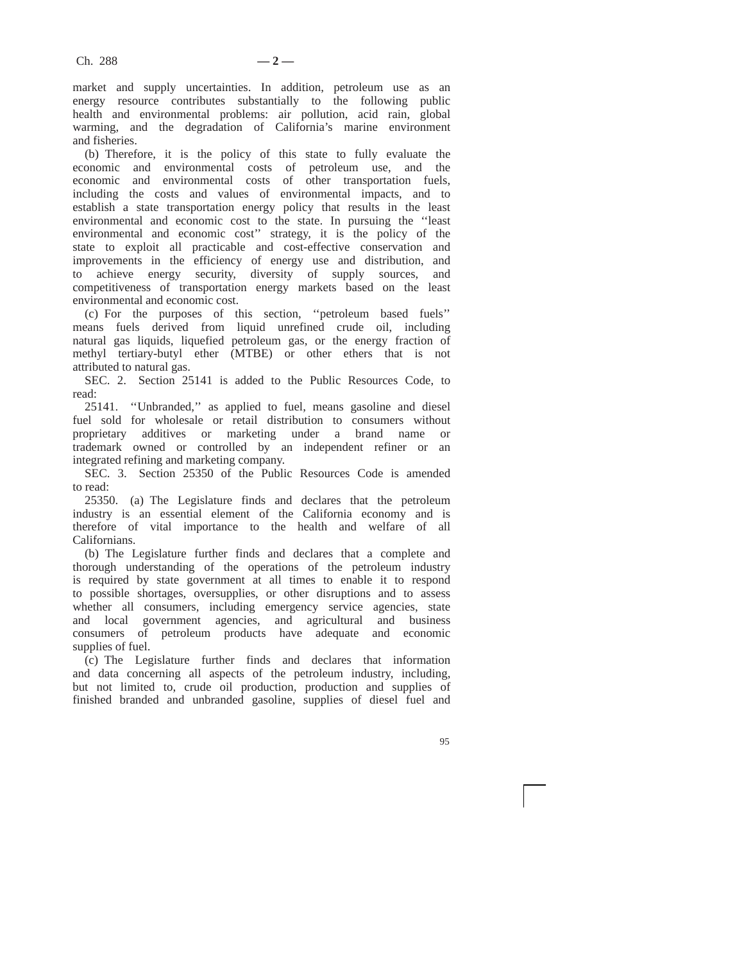market and supply uncertainties. In addition, petroleum use as an energy resource contributes substantially to the following public health and environmental problems: air pollution, acid rain, global warming, and the degradation of California's marine environment and fisheries.

(b) Therefore, it is the policy of this state to fully evaluate the economic and environmental costs of petroleum use, and the economic and environmental costs of other transportation fuels, including the costs and values of environmental impacts, and to establish a state transportation energy policy that results in the least environmental and economic cost to the state. In pursuing the ''least environmental and economic cost'' strategy, it is the policy of the state to exploit all practicable and cost-effective conservation and improvements in the efficiency of energy use and distribution, and to achieve energy security, diversity of supply sources, and competitiveness of transportation energy markets based on the least environmental and economic cost.

(c) For the purposes of this section, ''petroleum based fuels'' means fuels derived from liquid unrefined crude oil, including natural gas liquids, liquefied petroleum gas, or the energy fraction of methyl tertiary-butyl ether (MTBE) or other ethers that is not attributed to natural gas.

SEC. 2. Section 25141 is added to the Public Resources Code, to read:

25141. ''Unbranded,'' as applied to fuel, means gasoline and diesel fuel sold for wholesale or retail distribution to consumers without proprietary additives or marketing under a brand name or trademark owned or controlled by an independent refiner or an integrated refining and marketing company.

SEC. 3. Section 25350 of the Public Resources Code is amended to read:

25350. (a) The Legislature finds and declares that the petroleum industry is an essential element of the California economy and is therefore of vital importance to the health and welfare of all Californians.

(b) The Legislature further finds and declares that a complete and thorough understanding of the operations of the petroleum industry is required by state government at all times to enable it to respond to possible shortages, oversupplies, or other disruptions and to assess whether all consumers, including emergency service agencies, state and local government agencies, and agricultural and business consumers of petroleum products have adequate and economic supplies of fuel.

(c) The Legislature further finds and declares that information and data concerning all aspects of the petroleum industry, including, but not limited to, crude oil production, production and supplies of finished branded and unbranded gasoline, supplies of diesel fuel and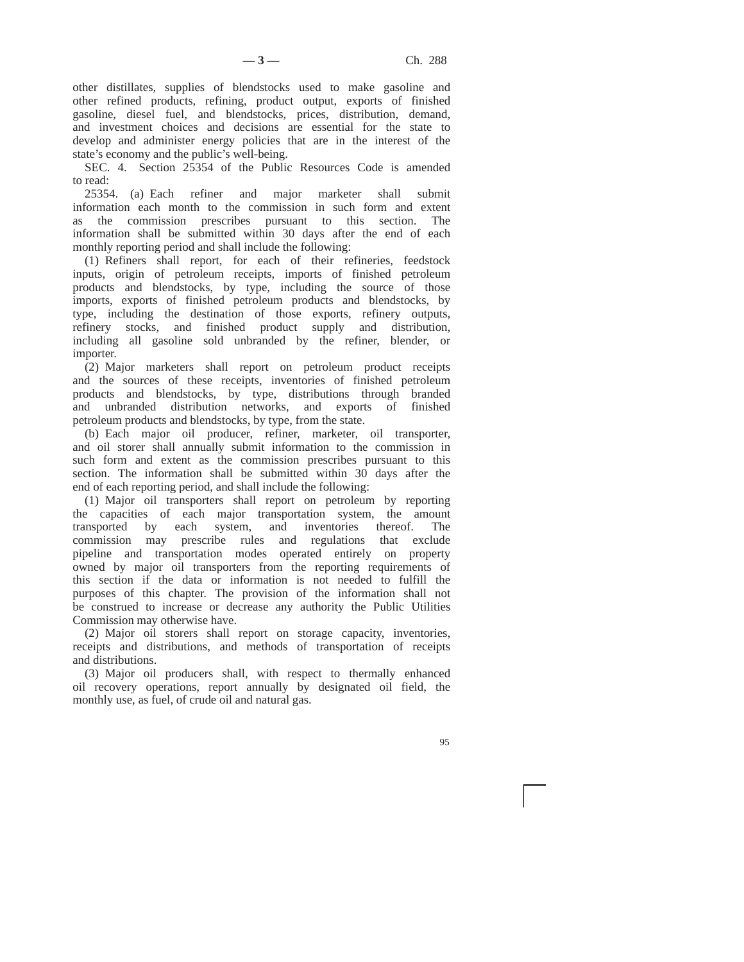other distillates, supplies of blendstocks used to make gasoline and other refined products, refining, product output, exports of finished gasoline, diesel fuel, and blendstocks, prices, distribution, demand, and investment choices and decisions are essential for the state to develop and administer energy policies that are in the interest of the state's economy and the public's well-being.

SEC. 4. Section 25354 of the Public Resources Code is amended to read:

25354. (a) Each refiner and major marketer shall submit information each month to the commission in such form and extent as the commission prescribes pursuant to this section. The information shall be submitted within 30 days after the end of each monthly reporting period and shall include the following:

(1) Refiners shall report, for each of their refineries, feedstock inputs, origin of petroleum receipts, imports of finished petroleum products and blendstocks, by type, including the source of those imports, exports of finished petroleum products and blendstocks, by type, including the destination of those exports, refinery outputs, refinery stocks, and finished product supply and distribution, including all gasoline sold unbranded by the refiner, blender, or importer.

(2) Major marketers shall report on petroleum product receipts and the sources of these receipts, inventories of finished petroleum products and blendstocks, by type, distributions through branded and unbranded distribution networks, and exports of finished petroleum products and blendstocks, by type, from the state.

(b) Each major oil producer, refiner, marketer, oil transporter, and oil storer shall annually submit information to the commission in such form and extent as the commission prescribes pursuant to this section. The information shall be submitted within 30 days after the end of each reporting period, and shall include the following:

(1) Major oil transporters shall report on petroleum by reporting the capacities of each major transportation system, the amount transported by each system, and inventories thereof. The commission may prescribe rules and regulations that exclude pipeline and transportation modes operated entirely on property owned by major oil transporters from the reporting requirements of this section if the data or information is not needed to fulfill the purposes of this chapter. The provision of the information shall not be construed to increase or decrease any authority the Public Utilities Commission may otherwise have.

(2) Major oil storers shall report on storage capacity, inventories, receipts and distributions, and methods of transportation of receipts and distributions.

(3) Major oil producers shall, with respect to thermally enhanced oil recovery operations, report annually by designated oil field, the monthly use, as fuel, of crude oil and natural gas.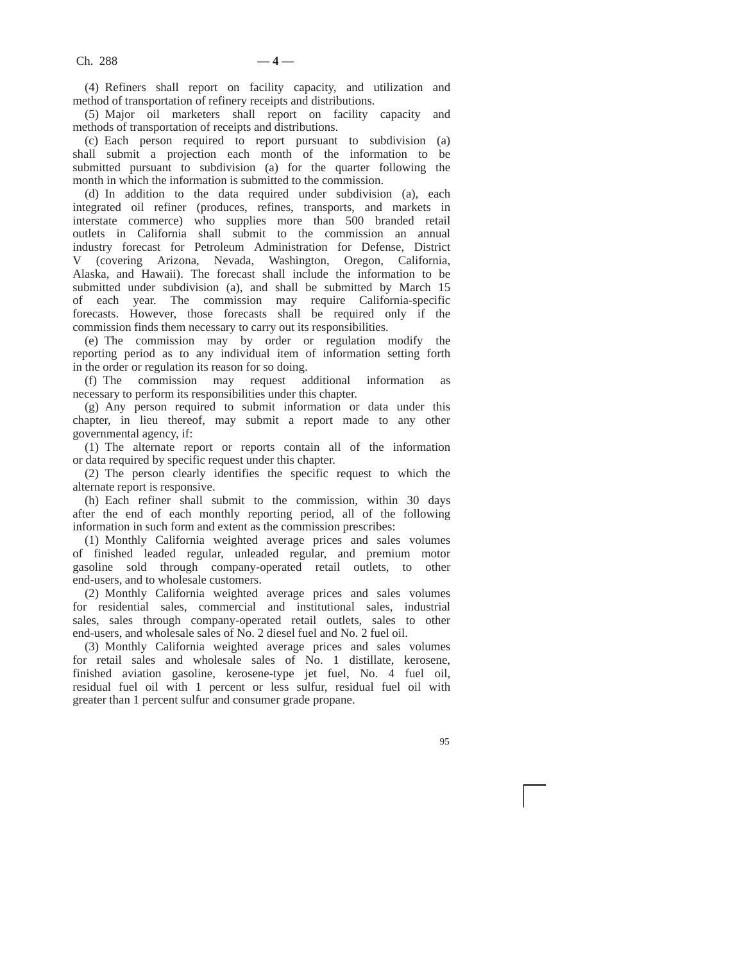(4) Refiners shall report on facility capacity, and utilization and method of transportation of refinery receipts and distributions.

(5) Major oil marketers shall report on facility capacity and methods of transportation of receipts and distributions.

(c) Each person required to report pursuant to subdivision (a) shall submit a projection each month of the information to be submitted pursuant to subdivision (a) for the quarter following the month in which the information is submitted to the commission.

(d) In addition to the data required under subdivision (a), each integrated oil refiner (produces, refines, transports, and markets in interstate commerce) who supplies more than 500 branded retail outlets in California shall submit to the commission an annual industry forecast for Petroleum Administration for Defense, District V (covering Arizona, Nevada, Washington, Oregon, California, Alaska, and Hawaii). The forecast shall include the information to be submitted under subdivision (a), and shall be submitted by March 15 of each year. The commission may require California-specific forecasts. However, those forecasts shall be required only if the commission finds them necessary to carry out its responsibilities.

(e) The commission may by order or regulation modify the reporting period as to any individual item of information setting forth in the order or regulation its reason for so doing.

(f) The commission may request additional information as necessary to perform its responsibilities under this chapter.

(g) Any person required to submit information or data under this chapter, in lieu thereof, may submit a report made to any other governmental agency, if:

(1) The alternate report or reports contain all of the information or data required by specific request under this chapter.

(2) The person clearly identifies the specific request to which the alternate report is responsive.

(h) Each refiner shall submit to the commission, within 30 days after the end of each monthly reporting period, all of the following information in such form and extent as the commission prescribes:

(1) Monthly California weighted average prices and sales volumes of finished leaded regular, unleaded regular, and premium motor gasoline sold through company-operated retail outlets, to other end-users, and to wholesale customers.

(2) Monthly California weighted average prices and sales volumes for residential sales, commercial and institutional sales, industrial sales, sales through company-operated retail outlets, sales to other end-users, and wholesale sales of No. 2 diesel fuel and No. 2 fuel oil.

(3) Monthly California weighted average prices and sales volumes for retail sales and wholesale sales of No. 1 distillate, kerosene, finished aviation gasoline, kerosene-type jet fuel, No. 4 fuel oil, residual fuel oil with 1 percent or less sulfur, residual fuel oil with greater than 1 percent sulfur and consumer grade propane.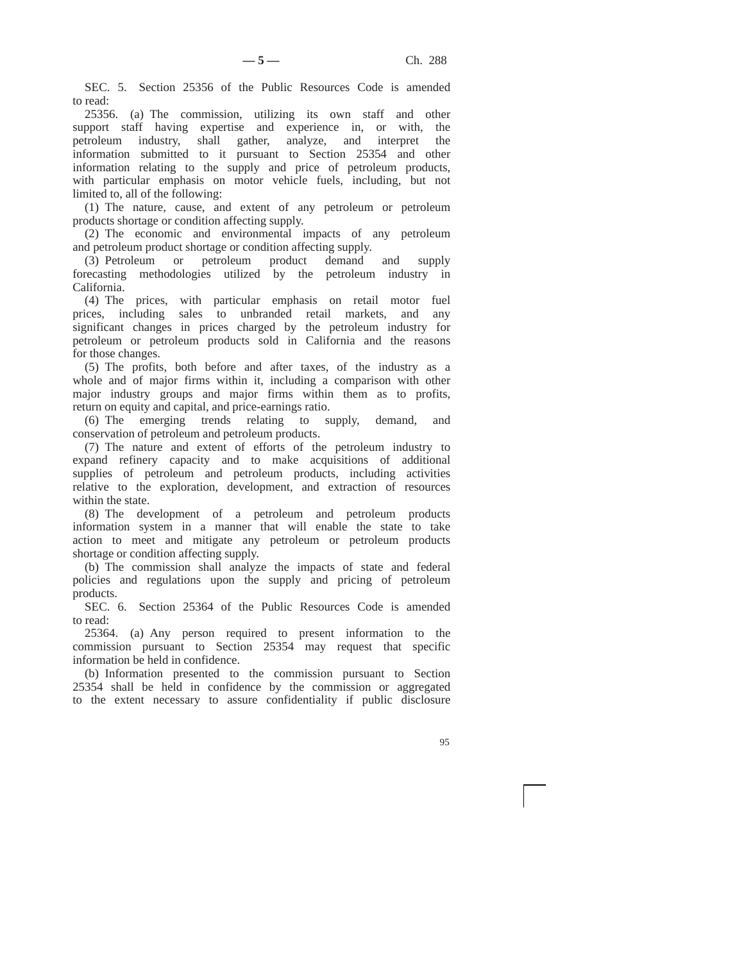SEC. 5. Section 25356 of the Public Resources Code is amended to read:

25356. (a) The commission, utilizing its own staff and other support staff having expertise and experience in, or with, the petroleum industry, shall gather, analyze, and interpret the information submitted to it pursuant to Section 25354 and other information relating to the supply and price of petroleum products, with particular emphasis on motor vehicle fuels, including, but not limited to, all of the following:

(1) The nature, cause, and extent of any petroleum or petroleum products shortage or condition affecting supply.

(2) The economic and environmental impacts of any petroleum and petroleum product shortage or condition affecting supply.

(3) Petroleum or petroleum product demand and supply forecasting methodologies utilized by the petroleum industry in California.

(4) The prices, with particular emphasis on retail motor fuel prices, including sales to unbranded retail markets, and any significant changes in prices charged by the petroleum industry for petroleum or petroleum products sold in California and the reasons for those changes.

(5) The profits, both before and after taxes, of the industry as a whole and of major firms within it, including a comparison with other major industry groups and major firms within them as to profits, return on equity and capital, and price-earnings ratio.

(6) The emerging trends relating to supply, demand, and conservation of petroleum and petroleum products.

(7) The nature and extent of efforts of the petroleum industry to expand refinery capacity and to make acquisitions of additional supplies of petroleum and petroleum products, including activities relative to the exploration, development, and extraction of resources within the state.

(8) The development of a petroleum and petroleum products information system in a manner that will enable the state to take action to meet and mitigate any petroleum or petroleum products shortage or condition affecting supply.

(b) The commission shall analyze the impacts of state and federal policies and regulations upon the supply and pricing of petroleum products.

SEC. 6. Section 25364 of the Public Resources Code is amended to read:

25364. (a) Any person required to present information to the commission pursuant to Section 25354 may request that specific information be held in confidence.

(b) Information presented to the commission pursuant to Section 25354 shall be held in confidence by the commission or aggregated to the extent necessary to assure confidentiality if public disclosure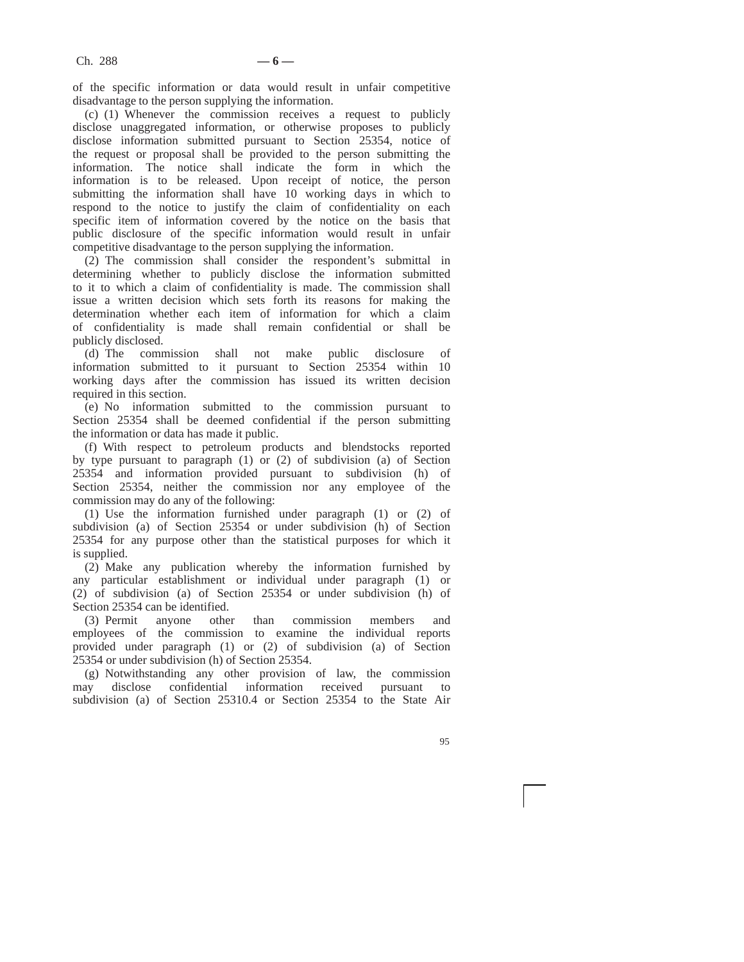of the specific information or data would result in unfair competitive disadvantage to the person supplying the information.

(c) (1) Whenever the commission receives a request to publicly disclose unaggregated information, or otherwise proposes to publicly disclose information submitted pursuant to Section 25354, notice of the request or proposal shall be provided to the person submitting the information. The notice shall indicate the form in which the information is to be released. Upon receipt of notice, the person submitting the information shall have 10 working days in which to respond to the notice to justify the claim of confidentiality on each specific item of information covered by the notice on the basis that public disclosure of the specific information would result in unfair competitive disadvantage to the person supplying the information.

(2) The commission shall consider the respondent's submittal in determining whether to publicly disclose the information submitted to it to which a claim of confidentiality is made. The commission shall issue a written decision which sets forth its reasons for making the determination whether each item of information for which a claim of confidentiality is made shall remain confidential or shall be publicly disclosed.

(d) The commission shall not make public disclosure of information submitted to it pursuant to Section 25354 within 10 working days after the commission has issued its written decision required in this section.

(e) No information submitted to the commission pursuant to Section 25354 shall be deemed confidential if the person submitting the information or data has made it public.

(f) With respect to petroleum products and blendstocks reported by type pursuant to paragraph (1) or (2) of subdivision (a) of Section 25354 and information provided pursuant to subdivision (h) of Section 25354, neither the commission nor any employee of the commission may do any of the following:

(1) Use the information furnished under paragraph (1) or (2) of subdivision (a) of Section 25354 or under subdivision (h) of Section 25354 for any purpose other than the statistical purposes for which it is supplied.

(2) Make any publication whereby the information furnished by any particular establishment or individual under paragraph (1) or (2) of subdivision (a) of Section 25354 or under subdivision (h) of Section 25354 can be identified.<br>(3) Permit anyone other

other than commission members and employees of the commission to examine the individual reports provided under paragraph (1) or (2) of subdivision (a) of Section 25354 or under subdivision (h) of Section 25354.

(g) Notwithstanding any other provision of law, the commission may disclose confidential information received pursuant to subdivision (a) of Section 25310.4 or Section 25354 to the State Air